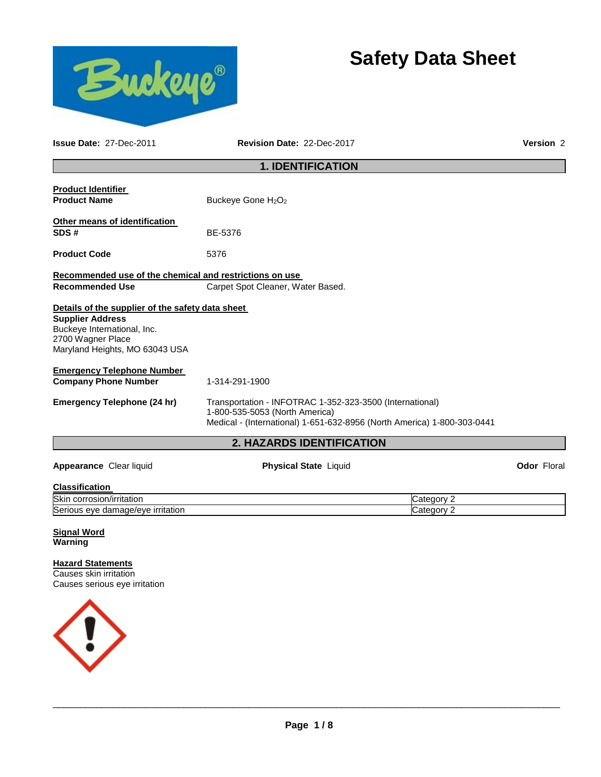



**Issue Date:** 27-Dec-2011 **Revision Date:** 22-Dec-2017 **Version** 2

# **1. IDENTIFICATION**

| Transportation - INFOTRAC 1-352-323-3500 (International)<br>1-800-535-5053 (North America)<br>Medical - (International) 1-651-632-8956 (North America) 1-800-303-0441 |  |  |  |
|-----------------------------------------------------------------------------------------------------------------------------------------------------------------------|--|--|--|
| 1-314-291-1900                                                                                                                                                        |  |  |  |
| Details of the supplier of the safety data sheet                                                                                                                      |  |  |  |
| Recommended use of the chemical and restrictions on use<br>Carpet Spot Cleaner, Water Based.                                                                          |  |  |  |
| 5376                                                                                                                                                                  |  |  |  |
| BE-5376                                                                                                                                                               |  |  |  |
| Buckeye Gone H <sub>2</sub> O <sub>2</sub>                                                                                                                            |  |  |  |
|                                                                                                                                                                       |  |  |  |

| <b>Classification</b>             |          |
|-----------------------------------|----------|
| Skin corrosion/irritation         | Category |
| Serious eye damage/eye irritation | شateαorv |

**Signal Word Warning** 

**Hazard Statements** Causes skin irritation Causes serious eye irritation

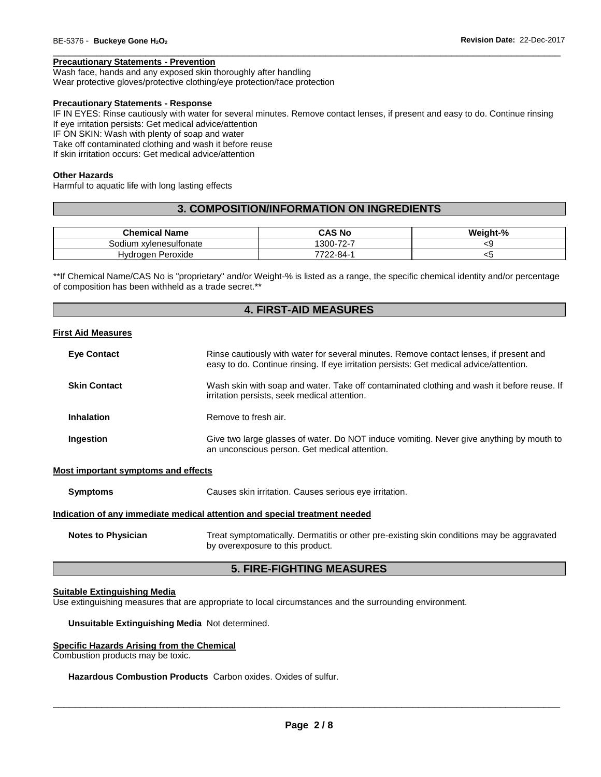# **Precautionary Statements - Prevention**

Wash face, hands and any exposed skin thoroughly after handling

Wear protective gloves/protective clothing/eye protection/face protection

#### **Precautionary Statements - Response**

IF IN EYES: Rinse cautiously with water for several minutes. Remove contact lenses, if present and easy to do. Continue rinsing If eye irritation persists: Get medical advice/attention IF ON SKIN: Wash with plenty of soap and water

\_\_\_\_\_\_\_\_\_\_\_\_\_\_\_\_\_\_\_\_\_\_\_\_\_\_\_\_\_\_\_\_\_\_\_\_\_\_\_\_\_\_\_\_\_\_\_\_\_\_\_\_\_\_\_\_\_\_\_\_\_\_\_\_\_\_\_\_\_\_\_\_\_\_\_\_\_\_\_\_\_\_\_\_\_\_\_\_\_\_\_\_\_

Take off contaminated clothing and wash it before reuse

If skin irritation occurs: Get medical advice/attention

#### **Other Hazards**

Harmful to aquatic life with long lasting effects

# **3. COMPOSITION/INFORMATION ON INGREDIENTS**

| <b>Chemical Name</b>   | <b>CAS No</b>   | Weight-% |
|------------------------|-----------------|----------|
| Sodium xvlenesulfonate | 300-72-7        | ՝        |
| Hvdroaen Peroxide      | $7722 - 84 - 0$ | ີ        |

\*\*If Chemical Name/CAS No is "proprietary" and/or Weight-% is listed as a range, the specific chemical identity and/or percentage of composition has been withheld as a trade secret.\*\*

# **4. FIRST-AID MEASURES**

#### **First Aid Measures**

| <b>Eye Contact</b>  | Rinse cautiously with water for several minutes. Remove contact lenses, if present and<br>easy to do. Continue rinsing. If eye irritation persists: Get medical advice/attention. |
|---------------------|-----------------------------------------------------------------------------------------------------------------------------------------------------------------------------------|
| <b>Skin Contact</b> | Wash skin with soap and water. Take off contaminated clothing and wash it before reuse. If<br>irritation persists, seek medical attention.                                        |
| <b>Inhalation</b>   | Remove to fresh air.                                                                                                                                                              |
| Ingestion           | Give two large glasses of water. Do NOT induce vomiting. Never give anything by mouth to<br>an unconscious person. Get medical attention.                                         |

#### **Most important symptoms and effects**

**Symptoms** Causes skin irritation. Causes serious eye irritation.

#### **Indication of any immediate medical attention and special treatment needed**

**Notes to Physician** Treat symptomatically. Dermatitis or other pre-existing skin conditions may be aggravated by overexposure to this product.

# **5. FIRE-FIGHTING MEASURES**

#### **Suitable Extinguishing Media**

Use extinguishing measures that are appropriate to local circumstances and the surrounding environment.

**Unsuitable Extinguishing Media** Not determined.

#### **Specific Hazards Arising from the Chemical**

Combustion products may be toxic.

# **Hazardous Combustion Products** Carbon oxides. Oxides of sulfur.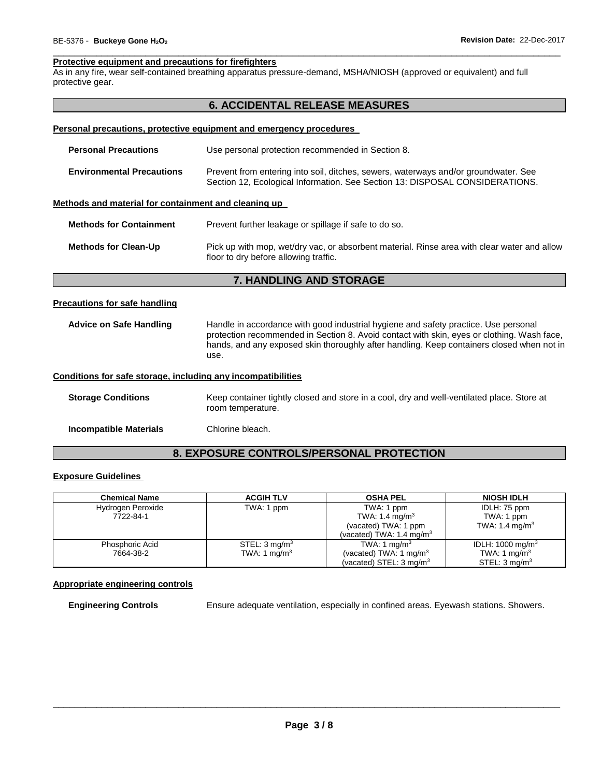#### \_\_\_\_\_\_\_\_\_\_\_\_\_\_\_\_\_\_\_\_\_\_\_\_\_\_\_\_\_\_\_\_\_\_\_\_\_\_\_\_\_\_\_\_\_\_\_\_\_\_\_\_\_\_\_\_\_\_\_\_\_\_\_\_\_\_\_\_\_\_\_\_\_\_\_\_\_\_\_\_\_\_\_\_\_\_\_\_\_\_\_\_\_ **Protective equipment and precautions for firefighters**

As in any fire, wear self-contained breathing apparatus pressure-demand, MSHA/NIOSH (approved or equivalent) and full protective gear.

# **6. ACCIDENTAL RELEASE MEASURES**

#### **Personal precautions, protective equipment and emergency procedures**

| <b>Personal Precautions</b>                          | Use personal protection recommended in Section 8.                                                                                                                   |  |  |
|------------------------------------------------------|---------------------------------------------------------------------------------------------------------------------------------------------------------------------|--|--|
| <b>Environmental Precautions</b>                     | Prevent from entering into soil, ditches, sewers, waterways and/or groundwater. See<br>Section 12, Ecological Information. See Section 13: DISPOSAL CONSIDERATIONS. |  |  |
| Methods and material for containment and cleaning up |                                                                                                                                                                     |  |  |
| <b>Methods for Containment</b>                       | Prevent further leakage or spillage if safe to do so.                                                                                                               |  |  |
| <b>Methods for Clean-Up</b>                          | Pick up with mop, wet/dry vac, or absorbent material. Rinse area with clear water and allow                                                                         |  |  |

# **7. HANDLING AND STORAGE**

floor to dry before allowing traffic.

#### **Precautions for safe handling**

**Advice on Safe Handling** Handle in accordance with good industrial hygiene and safety practice. Use personal protection recommended in Section 8. Avoid contact with skin, eyes or clothing. Wash face, hands, and any exposed skin thoroughly after handling. Keep containers closed when not in use.

#### **Conditions for safe storage, including any incompatibilities**

**Storage Conditions** Keep container tightly closed and store in a cool, dry and well-ventilated place. Store at room temperature. **Incompatible Materials** Chlorine bleach.

# **8. EXPOSURE CONTROLS/PERSONAL PROTECTION**

# **Exposure Guidelines**

| <b>Chemical Name</b> | <b>ACGIH TLV</b>         | <b>OSHA PEL</b>                     | <b>NIOSH IDLH</b>            |
|----------------------|--------------------------|-------------------------------------|------------------------------|
| Hydrogen Peroxide    | TWA: 1 ppm               | TWA: 1 ppm                          | IDLH: 75 ppm                 |
| 7722-84-1            |                          | TWA: 1.4 mg/m <sup>3</sup>          | TWA: 1 ppm                   |
|                      |                          | (vacated) TWA: 1 ppm                | TWA: 1.4 mg/m <sup>3</sup>   |
|                      |                          | (vacated) TWA: $1.4 \text{ mg/m}^3$ |                              |
| Phosphoric Acid      | STEL: $3 \text{ mg/m}^3$ | TWA: 1 mg/m <sup>3</sup>            | IDLH: 1000 mg/m <sup>3</sup> |
| 7664-38-2            | TWA: 1 mg/m <sup>3</sup> | (vacated) TWA: 1 mg/m <sup>3</sup>  | TWA: 1 mg/m <sup>3</sup>     |
|                      |                          | (vacated) STEL: $3 \text{ mg/m}^3$  | STEL: $3 \text{ mq/m}^3$     |

#### **Appropriate engineering controls**

**Engineering Controls Ensure adequate ventilation, especially in confined areas. Eyewash stations. Showers.**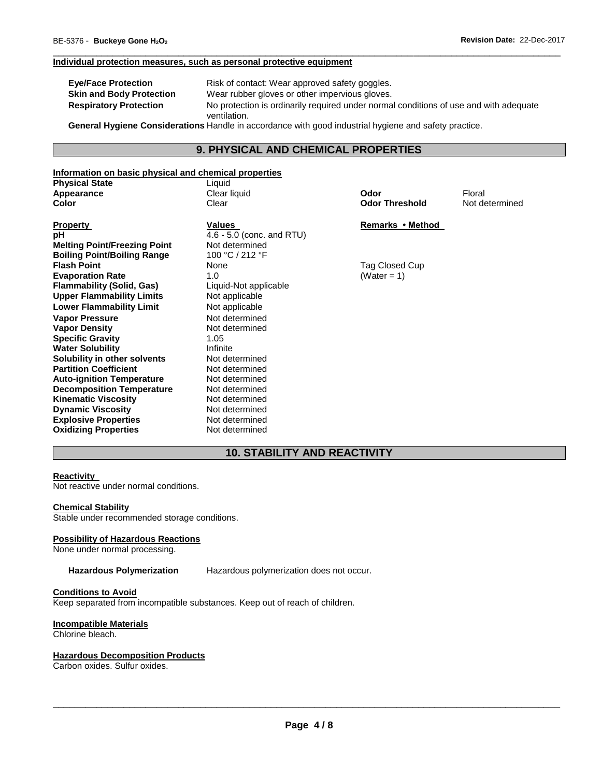#### **Individual protection measures, such as personal protective equipment**

| <b>Eye/Face Protection</b>                  | Risk of contact: Wear approved safety goggles.                                        |  |  |
|---------------------------------------------|---------------------------------------------------------------------------------------|--|--|
| <b>Skin and Body Protection</b>             | Wear rubber gloves or other impervious gloves.                                        |  |  |
| <b>Respiratory Protection</b>               | No protection is ordinarily required under normal conditions of use and with adequate |  |  |
| $\sim$ $\sim$ $\sim$ $\sim$ $\sim$<br>- - - | ventilation.                                                                          |  |  |

\_\_\_\_\_\_\_\_\_\_\_\_\_\_\_\_\_\_\_\_\_\_\_\_\_\_\_\_\_\_\_\_\_\_\_\_\_\_\_\_\_\_\_\_\_\_\_\_\_\_\_\_\_\_\_\_\_\_\_\_\_\_\_\_\_\_\_\_\_\_\_\_\_\_\_\_\_\_\_\_\_\_\_\_\_\_\_\_\_\_\_\_\_

**General Hygiene Considerations** Handle in accordance with good industrial hygiene and safety practice.

# **9. PHYSICAL AND CHEMICAL PROPERTIES**

#### **Information on basic physical and chemical properties** Liquid

**Property Values Remarks • Method <b>Property Remarks** • Method **Remarks** • Method **pH**  $4.6 - 5.0$  (conc. and RTU) **Melting Point/Freezing Point Not determined <br>
Boiling Point/Boiling Range 100 °C/212 °F Boiling Point/Boiling Range Flash Point Evaporation Rate 1.0**<br> **Flammability (Solid, Gas)** Liquid-Not applicable **Flammability (Solid, Gas) Upper Flammability Limits** Not applicable **Lower Flammability Limit** Not applicable **Vapor Pressure 1988** Not determined<br> **Vapor Density** 1989 Not determined **Vapor Density Specific Gravity** 1.05 **Water Solubility <b>Infilter Solubility** *Infinite*<br> **Solubility in other solvents Infinited Mot determined Solubility in other solvents Not determined**<br> **Partition Coefficient Not determined Partition Coefficient Not determined**<br> **Auto-ignition Temperature** Not determined **Auto-ignition Temperature 6 Mot determined Notion Property** Decomposition Temperature 2016 Not determined **Decomposition Temperature Not determined**<br>**Kinematic Viscosity Not determined Kinematic Viscosity**<br> **Dynamic Viscosity**<br> **Not determined Dynamic Viscosity**<br> **Explosive Properties**<br>
Not determined **Explosive Properties Oxidizing Properties** Not determined

**Fag Closed Cup**<br> **Fag Closed Cup**<br> **Fag Closed Cup**<br> **Fag Closed Cup**<br> **Fag Closed Cup** 

**Applear liquid Clear liquid Clear liquid Clear Apple Clear Apple Clear Apple Clear Apple Clear Apple Clear Apple Clear Apple Clear Apple Clear Apple Clear Apple Clear Apple Clear Apple Clear Apple Clear Apple Clear Apple Clear Color Threshold Not determined** 

# **10. STABILITY AND REACTIVITY**

#### **Reactivity**

Not reactive under normal conditions.

#### **Chemical Stability**

Stable under recommended storage conditions.

# **Possibility of Hazardous Reactions**

None under normal processing.

**Hazardous Polymerization** Hazardous polymerization does not occur.

#### **Conditions to Avoid**

Keep separated from incompatible substances. Keep out of reach of children.

#### **Incompatible Materials**

Chlorine bleach.

#### **Hazardous Decomposition Products**

Carbon oxides. Sulfur oxides.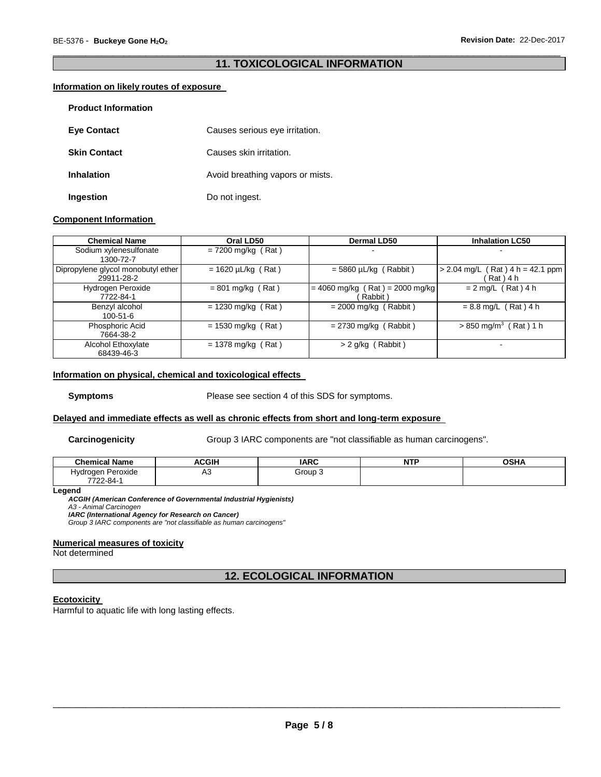# \_\_\_\_\_\_\_\_\_\_\_\_\_\_\_\_\_\_\_\_\_\_\_\_\_\_\_\_\_\_\_\_\_\_\_\_\_\_\_\_\_\_\_\_\_\_\_\_\_\_\_\_\_\_\_\_\_\_\_\_\_\_\_\_\_\_\_\_\_\_\_\_\_\_\_\_\_\_\_\_\_\_\_\_\_\_\_\_\_\_\_\_\_ **11. TOXICOLOGICAL INFORMATION**

# **Information on likely routes of exposure**

| <b>Product Information</b> |                                  |
|----------------------------|----------------------------------|
| <b>Eye Contact</b>         | Causes serious eye irritation.   |
| <b>Skin Contact</b>        | Causes skin irritation.          |
| <b>Inhalation</b>          | Avoid breathing vapors or mists. |
| Ingestion                  | Do not ingest.                   |

# **Component Information**

| <b>Chemical Name</b>                             | Oral LD50               | Dermal LD50                                  | <b>Inhalation LC50</b>                               |
|--------------------------------------------------|-------------------------|----------------------------------------------|------------------------------------------------------|
| Sodium xylenesulfonate<br>1300-72-7              | $= 7200$ mg/kg (Rat)    |                                              |                                                      |
| Dipropylene glycol monobutyl ether<br>29911-28-2 | $= 1620 \mu L/kg$ (Rat) | $=$ 5860 µL/kg (Rabbit)                      | $Rat$ ) 4 h = 42.1 ppm<br>$> 2.04$ mg/L<br>Rat ) 4 h |
| Hydrogen Peroxide<br>7722-84-1                   | $= 801$ mg/kg (Rat)     | $= 4060$ mg/kg (Rat) = 2000 mg/kg<br>Rabbit) | $= 2$ mg/L (Rat) 4 h                                 |
| Benzyl alcohol<br>$100 - 51 - 6$                 | $= 1230$ mg/kg (Rat)    | $= 2000$ mg/kg (Rabbit)                      | $= 8.8$ mg/L (Rat) 4 h                               |
| Phosphoric Acid<br>7664-38-2                     | $= 1530$ mg/kg (Rat)    | $= 2730$ mg/kg (Rabbit)                      | $> 850$ mg/m <sup>3</sup> (Rat) 1 h                  |
| Alcohol Ethoxylate<br>68439-46-3                 | $= 1378$ mg/kg (Rat)    | > 2 g/kg (Rabbit)                            |                                                      |

### **Information on physical, chemical and toxicological effects**

**Symptoms** Please see section 4 of this SDS for symptoms.

# **Delayed and immediate effects as well as chronic effects from short and long-term exposure**

**Carcinogenicity Group 3 IARC components are "not classifiable as human carcinogens".** 

| ' Name<br>Chemical.  | <b>ACGIH</b> | <b>IARC</b> | . ree<br>. | <b>OCU</b><br>אחכט |
|----------------------|--------------|-------------|------------|--------------------|
| Peroxide<br>Hvdroaen | $\sim$<br>៸₩ | Group ∶     |            |                    |
| 7722-84-             |              |             |            |                    |

**Legend** 

*ACGIH (American Conference of Governmental Industrial Hygienists) A3 - Animal Carcinogen IARC (International Agency for Research on Cancer)*

*Group 3 IARC components are "not classifiable as human carcinogens"* 

## **Numerical measures of toxicity**

Not determined

# **12. ECOLOGICAL INFORMATION**

# **Ecotoxicity**

Harmful to aquatic life with long lasting effects.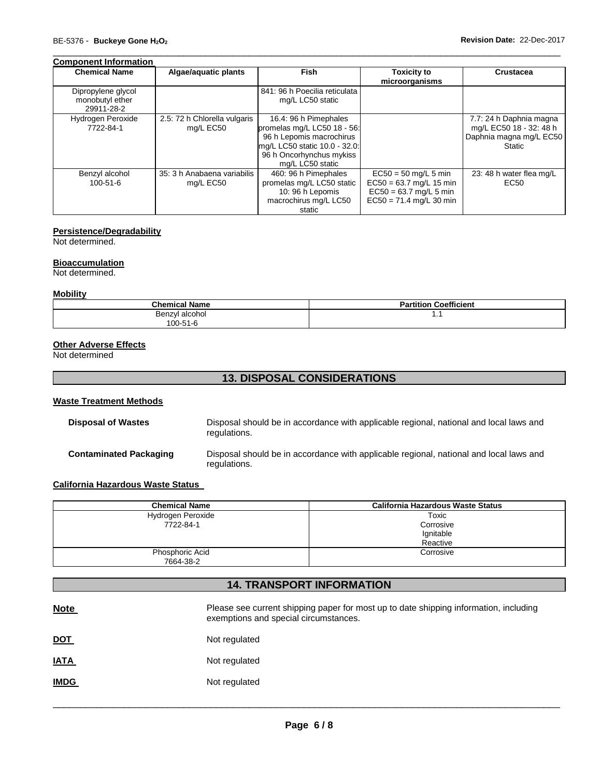# **Component Information**

| <b>Chemical Name</b>                                | Algae/aquatic plants                      | <b>Fish</b>                                                                                                                                                       | <b>Toxicity to</b><br>microorganisms                                                                         | Crustacea                                                                                      |
|-----------------------------------------------------|-------------------------------------------|-------------------------------------------------------------------------------------------------------------------------------------------------------------------|--------------------------------------------------------------------------------------------------------------|------------------------------------------------------------------------------------------------|
| Dipropylene glycol<br>monobutyl ether<br>29911-28-2 |                                           | 841: 96 h Poecilia reticulata<br>mg/L LC50 static                                                                                                                 |                                                                                                              |                                                                                                |
| Hydrogen Peroxide<br>7722-84-1                      | 2.5: 72 h Chlorella vulgaris<br>mg/L EC50 | 16.4: 96 h Pimephales<br>promelas mg/L LC50 18 - 56:<br>96 h Lepomis macrochirus<br>mg/L LC50 static 10.0 - 32.0:<br>96 h Oncorhynchus mykiss<br>mg/L LC50 static |                                                                                                              | 7.7: 24 h Daphnia magna<br>mg/L EC50 18 - 32: 48 h<br>Daphnia magna mg/L EC50<br><b>Static</b> |
| Benzyl alcohol<br>$100 - 51 - 6$                    | 35: 3 h Anabaena variabilis<br>mg/L EC50  | 460: 96 h Pimephales<br>promelas mg/L LC50 static<br>10: 96 h Lepomis<br>macrochirus mg/L LC50<br>static                                                          | $EC50 = 50$ mg/L 5 min<br>$EC50 = 63.7$ mg/L 15 min<br>$EC50 = 63.7$ mg/L 5 min<br>$EC50 = 71.4$ mg/L 30 min | 23: 48 h water flea mg/L<br>EC <sub>50</sub>                                                   |

\_\_\_\_\_\_\_\_\_\_\_\_\_\_\_\_\_\_\_\_\_\_\_\_\_\_\_\_\_\_\_\_\_\_\_\_\_\_\_\_\_\_\_\_\_\_\_\_\_\_\_\_\_\_\_\_\_\_\_\_\_\_\_\_\_\_\_\_\_\_\_\_\_\_\_\_\_\_\_\_\_\_\_\_\_\_\_\_\_\_\_\_\_

### **Persistence/Degradability**

Not determined.

# **Bioaccumulation**

Not determined.

# **Mobility**

| <b>Chemical Name</b> | <b>Coefficient</b><br>Partition |
|----------------------|---------------------------------|
| Benzyl alcohol       | . .                             |
| 100-51-6             |                                 |

# **Other Adverse Effects**

Not determined

# **13. DISPOSAL CONSIDERATIONS**

# **Waste Treatment Methods**

| Disposal of Wastes     | Disposal should be in accordance with applicable regional, national and local laws and<br>regulations. |
|------------------------|--------------------------------------------------------------------------------------------------------|
| Contaminated Packaging | Disposal should be in accordance with applicable regional, national and local laws and<br>regulations. |

# **California Hazardous Waste Status**

| <b>Chemical Name</b> | California Hazardous Waste Status |
|----------------------|-----------------------------------|
| Hydrogen Peroxide    | Toxic                             |
| 7722-84-1            | Corrosive                         |
|                      | Ignitable                         |
|                      | Reactive                          |
| Phosphoric Acid      | Corrosive                         |
| 7664-38-2            |                                   |

# **14. TRANSPORT INFORMATION**

| <b>Note</b> | Please see current shipping paper for most up to date shipping information, including<br>exemptions and special circumstances. |
|-------------|--------------------------------------------------------------------------------------------------------------------------------|
| <u>DOT</u>  | Not regulated                                                                                                                  |
| <b>IATA</b> | Not regulated                                                                                                                  |
| <b>IMDG</b> | Not regulated                                                                                                                  |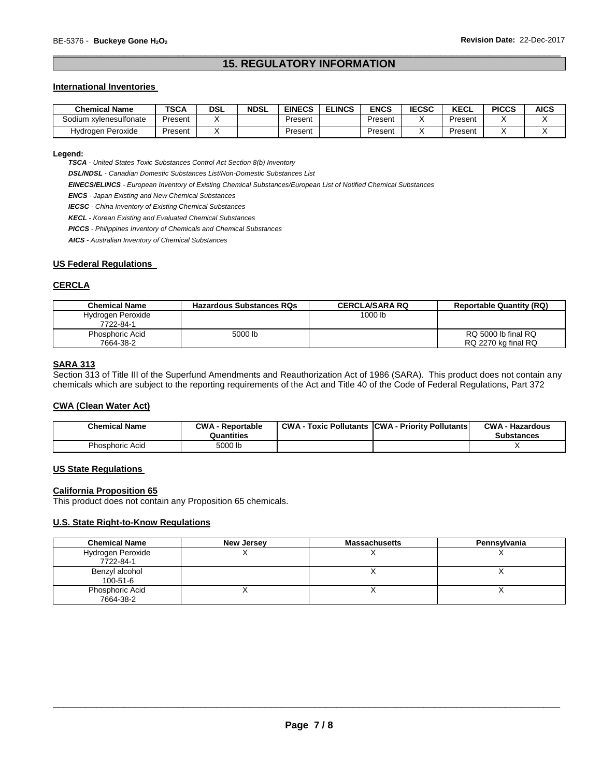# \_\_\_\_\_\_\_\_\_\_\_\_\_\_\_\_\_\_\_\_\_\_\_\_\_\_\_\_\_\_\_\_\_\_\_\_\_\_\_\_\_\_\_\_\_\_\_\_\_\_\_\_\_\_\_\_\_\_\_\_\_\_\_\_\_\_\_\_\_\_\_\_\_\_\_\_\_\_\_\_\_\_\_\_\_\_\_\_\_\_\_\_\_ **15. REGULATORY INFORMATION**

# **International Inventories**

| <b>Chemical Name</b>   | <b>TSCA</b> | DSL | <b>NDSL</b> | <b>EINECS</b> | <b>ELINCS</b> | ENCS    | <b>IECSC</b> | <b>KECL</b> | <b>PICCS</b> | <b>AICS</b> |
|------------------------|-------------|-----|-------------|---------------|---------------|---------|--------------|-------------|--------------|-------------|
| Sodium xvlenesulfonate | Present     |     |             | Present       |               | Present |              | Present     |              |             |
| Hvdrogen Peroxide      | Present     |     |             | Present       |               | Present |              | Present     |              |             |

# **Legend:**

*TSCA - United States Toxic Substances Control Act Section 8(b) Inventory* 

*DSL/NDSL - Canadian Domestic Substances List/Non-Domestic Substances List* 

*EINECS/ELINCS - European Inventory of Existing Chemical Substances/European List of Notified Chemical Substances* 

*ENCS - Japan Existing and New Chemical Substances* 

*IECSC - China Inventory of Existing Chemical Substances* 

*KECL - Korean Existing and Evaluated Chemical Substances* 

*PICCS - Philippines Inventory of Chemicals and Chemical Substances* 

*AICS - Australian Inventory of Chemical Substances* 

# **US Federal Regulations**

### **CERCLA**

| <b>Chemical Name</b>   | <b>Hazardous Substances RQs</b> | <b>CERCLA/SARA RQ</b> | <b>Reportable Quantity (RQ)</b> |
|------------------------|---------------------------------|-----------------------|---------------------------------|
| Hydrogen Peroxide      |                                 | 1000 lb               |                                 |
| 7722-84-1              |                                 |                       |                                 |
| <b>Phosphoric Acid</b> | 5000 lb                         |                       | RQ 5000 lb final RQ             |
| 7664-38-2              |                                 |                       | RQ 2270 kg final RQ             |

# **SARA 313**

Section 313 of Title III of the Superfund Amendments and Reauthorization Act of 1986 (SARA). This product does not contain any chemicals which are subject to the reporting requirements of the Act and Title 40 of the Code of Federal Regulations, Part 372

#### **CWA (Clean Water Act)**

| <b>Chemical Name</b> | <b>CWA - Reportable</b><br>Quantities | <b>CWA - Toxic Pollutants CWA - Priority Pollutants</b> | <b>CWA - Hazardous</b><br>Substances |
|----------------------|---------------------------------------|---------------------------------------------------------|--------------------------------------|
| Phosphoric Acid      | 5000 lb                               |                                                         |                                      |

## **US State Regulations**

#### **California Proposition 65**

This product does not contain any Proposition 65 chemicals.

# **U.S. State Right-to-Know Regulations**

| <b>Chemical Name</b> | New Jersey | <b>Massachusetts</b>     | Pennsylvania |
|----------------------|------------|--------------------------|--------------|
| Hydrogen Peroxide    |            |                          |              |
| 7722-84-1            |            |                          |              |
| Benzyl alcohol       |            |                          |              |
| 100-51-6             |            |                          |              |
| Phosphoric Acid      |            | $\overline{\phantom{a}}$ |              |
| 7664-38-2            |            |                          |              |